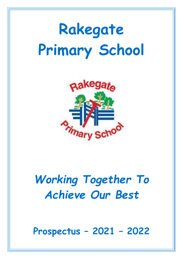# **Rakegate Primary School**



# *Working Together To Achieve Our Best*

**Prospectus – 2021 – 2022**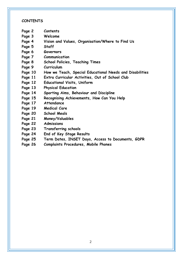#### **CONTENTS**

- **Page 2 Contents**
- **Page 3 Welcome**
- **Page 4 Vision and Values, Organisation/Where to Find Us**
- **Page 5 Staff**
- **Page 6 Governors**
- **Page 7 Communication**
- **Page 8 School Policies, Teaching Times**
- **Page 9 Curriculum**
- **Page 10 How we Teach, Special Educational Needs and Disabilities**
- **Page 11 Extra Curricular Activities, Out of School Club**
- **Page 12 Educational Visits, Uniform**
- **Page 13 Physical Education**
- **Page 14 Sporting Aims, Behaviour and Discipline**
- **Page 15 Recognising Achievements, How Can You Help**
- **Page 17 Attendance**
- **Page 19 Medical Care**
- **Page 20 School Meals**
- **Page 21 Money/Valuables**
- **Page 22 Admissions**
- **Page 23 Transferring schools**
- **Page 24 End of Key Stage Results**
- **Page 25 Term Dates, INSET Days, Access to Documents, GDPR**
- **Page 26 Complaints Procedures, Mobile Phones**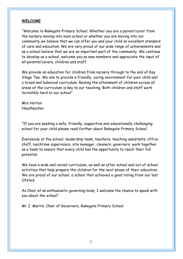#### **WELCOME**

"Welcome to Rakegate Primary School. Whether you are a parent/carer from the nursery moving into main school or whether you are moving into our community we believe that we can offer you and your child an excellent standard of care and education. We are very proud of our wide range of achievements and as a school believe that we are an important part of the community. We continue to develop as a school, welcome you as new members and appreciate the input of all parents/carers, children and staff.

We provide an education for children from nursery through to the end of Key Stage Two. We aim to provide a friendly, caring environment for your child and a broad and balanced curriculum. Raising the attainment of children across all areas of the curriculum is key to our teaching. Both children and staff work incredibly hard at our school"

Mrs Horton Headteacher

"If you are seeking a safe, friendly, supportive and educationally challenging school for your child please read further about Rakegate Primary School.

Everybody at the school, leadership team, teachers, teaching assistants, office staff, lunchtime supervisors, site manager, cleaners, governors, work together as a team to ensure that every child has the opportunity to reach their full potential.

We have a wide and varied curriculum, as well as after school and out of school activities that help prepare the children for the next phase of their education. We are proud of our school, a school that achieved a good rating from our last Ofsted.

As Chair of an enthusiastic governing body, I welcome the chance to speak with you about the school".

Mr J. Martin, Chair of Governors, Rakegate Primary School.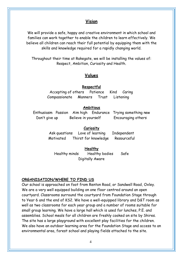# **Vision**

We will provide a safe, happy and creative environment in which school and families can work together to enable the children to learn effectively. We believe all children can reach their full potential by equipping them with the skills and knowledge required for a rapidly changing world.

Throughout their time at Rakegate, we will be installing the values of: Respect, Ambition, Curiosity and Health.

# **Values**

#### **Respectful**

Accepting of others Patience Kind Caring Compassionate Manners Trust Listening

#### **Ambitious**

Enthusiasm Passion Aim high Endurance Trying something new Don't give up Believe in yourself Encouraging others

#### **Curiosity**

Ask questions Love of learning Independent Motivated Thirst for knowledge Resourceful

**Healthy** Healthy minds Healthy bodies Safe Digitally Aware

#### **ORGANISATION/WHERE TO FIND US**

Our school is approached on foot from Renton Road, or Sandwell Road, Oxley. We are a very well equipped building on one floor centred around an open courtyard. Classrooms surround the courtyard from Foundation Stage through to Year 6 and the end of KS2. We have a well-equipped library and D&T room as well as two classrooms for each year group and a number of rooms suitable for small group learning. We have a large hall which is used for lunches, P.E. and assemblies. School meals for all children are freshly cooked on site by Shires. The site has a large playground with excellent play facilities for the children. We also have an outdoor learning area for the Foundation Stage and access to an environmental area, forest school and playing fields attached to the site.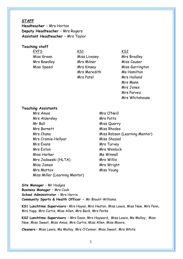#### **STAFF**

**Headteacher** – Mrs Horton **Deputy Headteacher** – Mrs Rogers **Assistant Headteacher** – Mrs Taylor

#### **Teaching staff**

<u>EYFS KS1 KS2 KS2</u>

Miss Green Miss Livesey Mrs Bradley Mrs Bowdley **Mrs Milner** Miss Causer Mrs Meredith Ms Hamilton Mrs Patel Mrs Holland

Miss Speed Mrs Kinsey Miss Garrington Mrs Mann Mrs Jones Mrs Parvez Mrs Whitehouse

#### **Teaching Assistants**

Mrs Amos Mrs O'Neill Mrs Aldersley Mrs Potts Mr Ball Miss Quarry Mrs Barnett Miss Rhodes Mrs Cromie-Hellyar Miss Shazad Mrs Evans Mrs Turvey Mrs Exton Mrs Wenlock Miss Harker Miss Minnall Mrs Jadowski (HLTA) Mrs Willis Miss James Mrs Wright Mrs Mattox Miss Young Miss Miller (Learning Mentor)

Mrs Chana Miss Robson (Learning Mentor)

**Site Manager** – Mr Hodges **Business Manager** – Mrs Cook **School Administrator** – Mrs Harris **Community Sports & Health Officer -** Mr Blount-Williams

**KS1 Lunchtime Supervisors** – Mrs Hayes, Mrs Heston, Miss Lewis, Miss New, Mrs Penn, Mrs Yapp, Mrs Curtis, Miss Allen, Mrs Beck, Mrs Perks

**KS2 Lunchtime Supervisors** – Mrs Dean, Mrs Hayward**,** Miss Lewis, Ms Molloy**,** Miss New, Miss Sweet, Miss Amos, Mrs Curtis, Miss Allen, Miss Moore,

**Cleaners** – Miss Lewis, Ms Molloy, Mrs O'Connor, Miss Sweet, Mrs White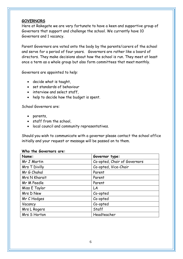#### **GOVERNORS**

Here at Rakegate we are very fortunate to have a keen and supportive group of Governors that support and challenge the school. We currently have 10 Governors and 1 vacancy.

Parent Governors are voted onto the body by the parents/carers of the school and serve for a period of four years. Governors are rather like a board of directors. They make decisions about how the school is run. They meet at least once a term as a whole group but also form committees that meet monthly.

Governors are appointed to help:

- decide what is taught,
- set standards of behaviour
- interview and select staff,
- help to decide how the budget is spent.

School Governors are:

- parents,
- staff from the school,
- local council and community representatives.

Should you wish to communicate with a governor please contact the school office initially and your request or message will be passed on to them.

#### **Who the Governors are:**

| Name:         | Governor type:               |
|---------------|------------------------------|
| Mr J Martin   | Co-opted, Chair of Governors |
| Mrs T Divilly | Co-opted, Vice-Chair         |
| Mr G Chahal   | Parent                       |
| Mrs N Kharait | Parent                       |
| Mr M Peedle   | Parent                       |
| Miss E Taylor | LA                           |
| Mrs D New     | Co-opted                     |
| Mr C Hodges   | Co-opted                     |
| Vacancy       | Co-opted                     |
| Mrs L Rogers  | Staff                        |
| Mrs S Horton  | Headteacher                  |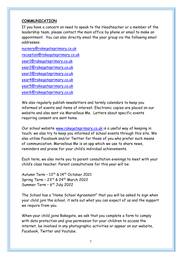#### **COMMUNICATION**

If you have a concern on need to speak to the Headteacher or a member of the leadership team, please contact the main office by phone or email to make an appointment. You can also directly email the year group via the following email addresses:

[nursery@rakegateprimary.co.uk](mailto:nursery@rakegateprimary.co.uk) [reception@rakegateprimary.co.uk](mailto:reception@rakegateprimary.co.uk) [year1@rakegateprimary.co.uk](mailto:year1@rakegateprimary.co.uk) [year2@rakegateprimary.co.uk](mailto:year2@rakegateprimary.co.uk) [year3@rakegateprimary.co.uk](mailto:year3@rakegateprimary.co.uk) [year4@rakegateprimary.co.uk](mailto:year4@rakegateprimary.co.uk) [year5@rakegateprimary.co.uk](mailto:year5@rakegateprimary.co.uk) [year6@rakegateprimary.co.uk](mailto:year6@rakegateprimary.co.uk)

We also regularly publish newsletters and termly calendars to keep you informed of events and items of interest. Electronic copies are placed on our website and also sent via Marvellous Me. Letters about specific events requiring consent are sent home.

Our school website [www.rakegateprimary.co.uk i](http://www.rakegateprimary.co.uk/)s a useful way of keeping in touch; we also try to keep you informed of school events through this site. We also utilise Facebook and/or Twitter for those of you who prefer such means of communication. Marvellous Me is an app which we use to share news, reminders and praise for your child's individual achievements.

Each term, we also invite you to parent consultation evenings to meet with your child's class teacher. Parent consultations for this year will be:

Autumn Term -  $13<sup>th</sup>$  &  $14<sup>th</sup>$  October 2021 Spring Term – 23rd & 24th March 2022 Summer Term - 6<sup>th</sup> July 2022

The School has a "Home School Agreement" that you will be asked to sign when your child join the school, it sets out what you can expect of us and the support we require from you.

When your child joins Rakegate, we ask that you complete a form to comply with data protection and give permission for your children to access the internet, be involved in any photographic activities or appear on our website, Facebook, Twitter and Youtube.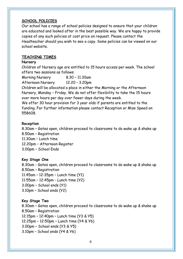#### **SCHOOL POLICIES**

Our school has a range of school policies designed to ensure that your children are educated and looked after in the best possible way. We are happy to provide copies of any such policies at cost price on request. Please contact the Headteacher should you wish to see a copy. Some policies can be viewed on our school website.

#### **TEACHING TIMES**

#### **Nursery**

Children of Nursery age are entitled to 15 hours access per week. The school offers two sessions as follows:

Morning Nursery 8.30 – 11.30am

Afternoon Nursery 12.20 – 3.20pm

Children will be allocated a place in either the Morning or the Afternoon Nursery, Monday – Friday. We do not offer flexibility to take the 15 hours over more hours per day over fewer days during the week.

We offer 30 hour provision for 3 year olds if parents are entitled to the funding. For further information please contact Reception or Miss Speed on 558608.

#### **Reception**

8.30am – Gates open, children proceed to classrooms to do wake up & shake up 8.50am – Registration

11.30am – Lunch time

12.20pm – Afternoon Register

3.00pm – School Ends

# **Key Stage One**

8.30am - Gates open, children proceed to classrooms to do wake up & shake up 8.50am – Registration

11.45am – 12:35pm – Lunch time (Y1)

11:55am – 12:45pm - Lunch time (Y2)

- 3.00pm School ends (Y1)
- 3.10pm School ends (Y2)

# **Key Stage Two**

8.30am – Gates open, children proceed to classrooms to do wake up & shake up 8.50am – Registration

12.15pm – 12:40pm – Lunch time (Y3 & Y5)

- 12.25pm 12:50pm Lunch time (Y4 & Y6)
- 3.00pm School ends (Y3 & Y5)
- 3.10pm School ends (Y4 & Y6)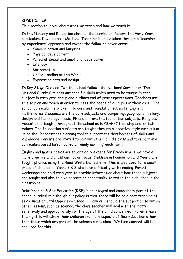#### **CURRICULUM**

This section tells you about what we teach and how we teach it.

In the Nursery and Reception classes, the curriculum follows the Early Years curriculum: Development Matters. Teaching is undertaken through a "learning by experience" approach and covers the following seven areas:

- Communication and language
- Physical development
- Personal, social and emotional development
- Literacy
- Mathematics
- Understanding of the World
- Expressing arts and design

In Key Stage One and Two the school follows the National Curriculum. The National Curriculum sets out specific skills which need to be taught in each subject in each year group and outlines end of year expectations. Teachers use this to plan and teach in order to meet the needs of all pupils in their care. The school curriculum is broken into core and foundation subjects: English, mathematics & science are the core subjects and computing, geography, history, design and technology, music, PE and art are the foundation subjects. Religious Education is taught throughout the school as is PSHE/Citizenship and British Values. The foundation subjects are taught through a 'creative' style curriculum using the Cornerstones planning tool to support the development of skills and knowledge. Parents are invited to join with their child's class and take part in a curriculum based lesson called a 'family morning' each term.

English and mathematics are taught daily except for Friday where we have a more creative and cross curricular focus. Children in Foundation and Year 1 are taught phonics using the Read Write Inc. scheme. This is also used for a small group of children in Years 2 & 3 who have difficulty with reading. Parent workshops are held each year to provide information about how these subjects are taught and also to give parents an opportunity to watch their children in the classrooms.

Relationships & Sex Education (RSE) is an integral and compulsory part of the school curriculum although our policy is that there will be no direct teaching of sex education until Upper Key Stage 2. However, should the subject arise within other lessons, such as science, the class teacher will deal with the matter sensitively and appropriately for the age of the child concerned. Parents have the right to withdraw their children from any aspects of Sex Education other than those which are part of the science curriculum. Written consent will be required for this.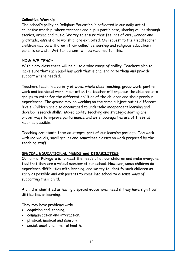#### **Collective Worship**

The school's policy on Religious Education is reflected in our daily act of collective worship, where teachers and pupils participate, sharing values through stories, drama and music. We try to ensure that feelings of awe, wander and gratitude, essential to worship, are exhibited. On request to the Headteacher, children may be withdrawn from collective worship and religious education if parents so wish. Written consent will be required for this.

# **HOW WE TEACH**

Within any class there will be quite a wide range of ability. Teachers plan to make sure that each pupil has work that is challenging to them and provide support where needed.

Teachers teach in a variety of ways: whole class teaching, group work, partner work and individual work, most often the teacher will organise the children into groups to cater for the different abilities of the children and their previous experiences. The groups may be working on the same subject but at different levels. Children are also encouraged to undertake independent learning and develop research skills. Mixed ability teaching and strategic seating are proven ways to improve performance and we encourage the use of these as much as possible.

Teaching Assistants form an integral part of our learning package. TAs work with individuals, small groups and sometimes classes on work prepared by the teaching staff.

# **SPECIAL EDUCATIONAL NEEDS and DISABILITIES**

Our aim at Rakegate is to meet the needs of all our children and make everyone feel that they are a valued member of our school. However, some children do experience difficulties with learning, and we try to identify such children as early as possible and ask parents to come into school to discuss ways of supporting their child.

A child is identified as having a special educational need if they have significant difficulties in learning.

They may have problems with:

- cognition and learning,
- communication and interaction,
- physical, medical and sensory,
- social, emotional, mental health.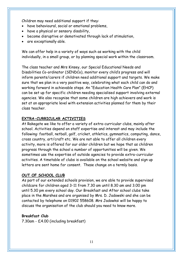Children may need additional support if they:

- have behavioural, social or emotional problems,
- have a physical or sensory disability,
- become disruptive or demotivated through lack of stimulation,
- are exceptionally able.

We can offer help in a variety of ways such as working with the child individually, in a small group, or by planning special work within the classroom.

The class teacher and Mrs Kinsey, our Special Educational Needs and Disabilities Co-ordinator (SENDCo), monitor every child's progress and will inform parents/carers if children need additional support and targets. We make sure that we plan in a very positive way, celebrating what each child can do and working forward in achievable steps. An "Education Health Care Plan" (EHCP) can be set up for specific children needing specialised support involving external agencies. We also recognise that some children are high achievers and work is set at an appropriate level with extension activities planned for them by their class teacher.

# **EXTRA-CURRICULAR ACTIVITIES**

At Rakegate we like to offer a variety of extra-curricular clubs, mainly after school. Activities depend on staff expertise and interest and may include the following: football, netball, golf, cricket, athletics, gymnastics, computing, dance, cross country, art/craft etc. We are not able to offer all children every activity, more is offered for our older children but we hope that as children progress through the school a number of opportunities will be given. We sometimes use the expertise of outside agencies to provide extra-curricular activities. A timetable of clubs is available on the school website and sign up letters are sent home for consent. These change on a termly basis.

# **OUT OF SCHOOL CLUB**

As part of our extended schools provision, we are able to provide supervised childcare for children aged 3-11 from 7.30 am until 8.30 am and 3.00 pm until 5.30 pm every school day. Our Breakfast and After school clubs take place in the Marshes and are organised by Mrs. D. Jadowski and she can be contacted by telephone on 01902 558608. Mrs Jadowksi will be happy to discuss the organisation of the club should you need to know more.

# **Breakfast Club**

7.30am - £4.00 (including breakfast)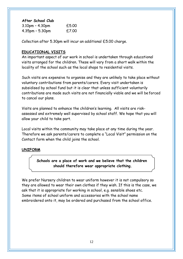**After School Club**

| $3.10$ pm - $4.30$ pm | £5.00 |
|-----------------------|-------|
| $4.35$ pm - 5.30pm    | £7.00 |

Collection after 5.30pm will incur an additional £5.00 charge.

#### **EDUCATIONAL VISITS**

An important aspect of our work in school is undertaken through educational visits arranged for the children. These will vary from a short walk within the locality of the school such as the local shops to residential visits.

Such visits are expensive to organise and they are unlikely to take place without voluntary contributions from parents/carers. Every visit undertaken is subsidised by school fund but it is clear that unless sufficient voluntarily contributions are made such visits are not financially viable and we will beforced to cancel our plans.

Visits are planned to enhance the children's learning. All visits are riskassessed and extremely well supervised by school staff. We hope that you will allow your child to take part.

Local visits within the community may take place at any time during the year. Therefore we ask parents/carers to complete a "Local Visit" permission on the Contact form when the child joins the school.

#### **UNIFORM**

**Schools are a place of work and we believe that the children should therefore wear appropriate clothing.**

We prefer Nursery children to wear uniform however it is not compulsory so they are allowed to wear their own clothes if they wish. If this is the case, we ask that it is appropriate for working in school, e.g. sensible shoes etc. Some items of school uniform and accessories with the school name embroidered onto it, may be ordered and purchased from the school office.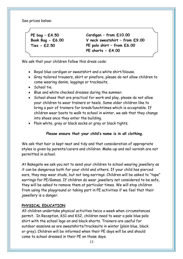See prices below:

**PE bag – £4.50 Book Bag - £6.00 Ties - £2.50**

**Cardigan – from £10.00 V neck sweatshirt – from £9.00 PE polo shirt – from £6.00 PE shorts - £4.00**

We ask that your children follow this dress code:

- Royal blue cardigan or sweatshirt and a white shirt/blouse.
- Grey tailored trousers, skirt or pinafore, please do not allow children to come wearing denim, leggings or tracksuits.
- School tie.
- Blue and white checked dresses during the summer.
- School shoes that are practical for work and play, please do not allow your children to wear trainers or heels. Some older children like to bring a pair of trainers for break/lunchtimes which is acceptable. If children wear boots to walk to school in winter, we ask that they change into shoes once they enter the building.
- Plain white, grey or black socks or grey or black tights.

# **Please ensure that your child's name is in all clothing.**

We ask that hair is kept neat and tidy and that consideration of appropriate styles is given by parents/carers and children. Make-up and nail varnish are not permitted in school.

At Rakegate we ask you not to send your children to school wearing jewellery as it can be dangerous both for your child and others. If your child has pierced ears, they may wear studs, but not long earrings. Children will be asked to "tape" earrings for PE/Games. If children do wear jewellery not considered to be safe, they will be asked to remove them at particular times. We will stop children from using the playground or taking part in PE activities if we feel that their jewellery is a danger.

# **PHYSICAL EDUCATION**

All children undertake physical activities twice a week when circumstances permit. In Reception, KS1 and KS2, children need to wear a pale blue polo shirt with the school logo on and black shorts. Trainers are useful for outdoor sessions as are sweatshirts/tracksuits in winter (plain blue, black or grey). Children will be informed when their PE days will be and should come to school dressed in their PE on those days.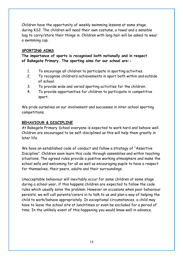Children have the opportunity of weekly swimming lessons at some stage during KS2. The children will need their own costume, a towel and a sensible bag to carry/store their things in. Children with long hair will be asked to wear a swimming cap.

#### **SPORTING AIMS**

**The importance of sports is recognised both nationally and in respect of Rakegate Primary. The sporting aims for our school are:-**

- 1. To encourage all children to participate in sporting activities.
- 2. To recognise children's achievements in sport both within and outside of school.
- 3. To provide wide and varied sporting activities for the children.
- 4. To provide opportunities for children to participate in competitive sport.

We pride ourselves on our involvement and successes in inter-school sporting competitions.

# **BEHAVIOUR & DISCIPLINE**

At Rakegate Primary School everyone is expected to work hard and behave well. Children are encouraged to be self-disciplined as this will help them greatly in later life.

We have an established code of conduct and follow a strategy of "Assertive Discipline". Children soon learn this code through assemblies and within teaching situations. The agreed rules provide a positive working atmosphere and make the school safe and welcoming for all as well as encouraging pupils to have a respect for themselves, their peers, adults and their surroundings.

Unacceptable behaviour will inevitably occur for some children at some stage during a school year, if this happens children are expected to follow the code rules which usually solve the problem. However on occasions when poor behaviour persists, we will call parents/carers in to talk to us and plan a way of helping the child to work/behave appropriately. In exceptional circumstances, a child may have to leave the school site at lunchtimes or even be excluded for a period of time. In the unlikely event of this happening you would know well in advance.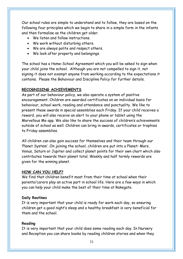Our school rules are simple to understand and to follow, they are based on the following four principles which we begin to share in a simple form in the infants and then formalise as the children get older.

- We listen and follow instructions.
- We work without disturbing others.
- We are always polite and respect others.
- We look after property and belongings.

The school has a Home-School Agreement which you will be asked to sign when your child joins the school. Although you are not compelled to sign it, not signing it does not exempt anyone from working according to the expectations it contains. Please the Behaviour and Discipline Policy for further details.

#### **RECOGNISING ACHIEVEMENTS**

As part of our behaviour policy, we also operate a system of positive encouragement. Children are awarded certificates on an individual basis for behaviour, school work, reading and attendance and punctuality. We like to present these awards in special assemblies each Friday. If your child receives a reward, you will also receive an alert to your phone or tablet using the Marvellous Me app. We also like to share the success of children's achievements outside of school as well. Children can bring in awards, certificates or trophies to Friday assemblies.

All children can also gain success for themselves and their team through our 'Planet System'. On joining the school, children are put into a Planet: Mars, Venus, Saturn or Jupiter and collect planet points for their own chart which also contributes towards their planet total. Weekly and half termly rewards are given for the winning planet.

#### **HOW CAN YOU HELP?**

We find that children benefit most from their time at school when their parents/carers play an active part in school life. Here are a few ways in which you can help your child make the best of their time at Rakegate.

#### **Daily Routines**

It is very important that your child is ready for work each day, so ensuring children get a good night's sleep and a healthy breakfast is very beneficial for them and the school.

#### **Reading**

It is very important that your child does some reading each day. In Nursery and Reception you can share books by reading children stories and when they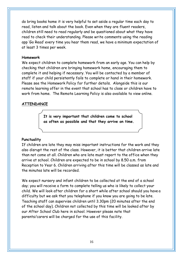do bring books home it is very helpful to set aside a regular time each day to read, listen and talk about the book. Even when they are fluent readers, children still need to read regularly and be questioned about what they have read to check their understanding. Please write comments using the reading app 'Go Read' every time you hear them read, we have a minimum expectation of at least 3 times per week.

#### **Homework**

We expect children to complete homework from an early age. You can help by checking that children are bringing homework home, encouraging them to complete it and helping if necessary. You will be contacted by a member of staff if your child persistently fails to complete or hand in their homework. Please see the Homework Policy for further details. Alongside this is our remote learning offer in the event that school has to close or children have to work from home. The Remote Learning Policy is also available to view online.

# **ATTENDANCE**

**It is very important that children come to school as often as possible and that they arrive on time.**

# **Punctuality**

If children are late they may miss important instructions for the work and they also disrupt the rest of the class. However, it is better that children arrive late than not come at all. Children who are late must report to the office when they arrive at school. Children are expected to be in school by 8.50 a.m. from Reception to Year 6. Children arriving after this time will be classed as late and the minutes late will be recorded.

We expect nursery and infant children to be collected at the end of a school day; you will receive a form to complete telling us who is likely to collect your child. We will look after children for a short while after school should you have a difficulty but we ask that you telephone if you know you are going to be late. Teaching staff can supervise children until 3.30pm (20 minutes after the end of the school day). Children not collected by this time will be looked after by our After School Club here in school. However please note that parents/carers will be charged for the use of this facility.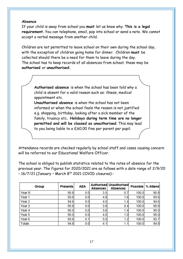#### **Absence**

If your child is away from school you **must** let us know why. **This is a legal requirement.**You can telephone, email, pop into school or send a note. We cannot accept a verbal message from another child.

Children are not permitted to leave school on their own during the school day, with the exception of children going home for dinner. Children **must** be collected should there be a need for them to leave during the day. The school has to keep records of all absences from school; these may be **authorised** or **unauthorised.**

**Authorised absence** is when the school has been told why a child is absent for a valid reason such as: illness, medical appointment etc.

**Unauthorised absence** is when the school has not been informed or when the school feels the reason is not justified e.g. shopping, birthday, looking after a sick member of the family, truancy etc**. Holidays during term time are no longer permitted and will be classed as unauthorised**. This may lead to you being liable to a £60.00 fine per parent per pupil.

Attendance records are checked regularly by school staff and cases causing concern will be referred to our Educational Welfare Officer.

The school is obliged to publish statistics related to the rates of absence for the previous year. The figures for 2020/2021 are as follows with a date range of 2/9/20 – 16/7/21 (January – March 8 th 2021 COVID closures):-

| Group             | <b>Presents</b> | AEA | Absences | <b>Authorised Unauthorised</b><br>Absences | <b>Possible</b> | % Attend |
|-------------------|-----------------|-----|----------|--------------------------------------------|-----------------|----------|
| Year <sub>R</sub> | 95.8            | 0.0 | 3.5      | 0.7                                        | 100.0           | 95.8     |
| Year 1            | 93.6            | 0.0 | 4.8      | 1.6                                        | 100.0           | 93.6     |
| Year 2            | 94.6            | 0.0 | 4.0      | 1.4                                        | 100.0           | 94.6     |
| Year 3            | 95.8            | 0.0 | 3.8      | 0.4                                        | 100.0           | 95.8     |
| Year 4            | 95.0            | 0.0 | 3.6      | 1.4                                        | 100.0           | 95.0     |
| Year 5            | 95.0            | 0.0 | 4.0      | 1.0                                        | 100.0           | 95.0     |
| Year 6            | 93.6            | 0.1 | 5.0      | 1.2                                        | 100.0           | 93.7     |
| Totals            | 94.8            | 0.0 | 4.1      | 1.1                                        | 100.0           | 94.8     |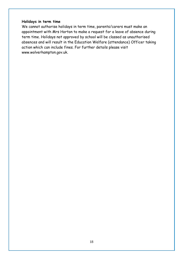#### **Holidays in term time**

We cannot authorise holidays in term time, parents/carers must make an appointment with Mrs Horton to make a request for a leave of absence during term time. Holidays not approved by school will be classed as unauthorised absences and will result in the Education Welfare (attendance) Officer taking action which can include fines. For further details please visit [www.wolverhampton.gov.uk.](http://www.wolverhampton.gov.uk/)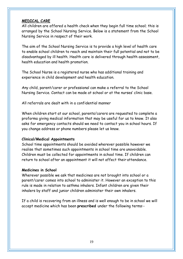#### **MEDICAL CARE**

All children are offered a health check when they begin full time school; this is arranged by the School Nursing Service. Below is a statement from the School Nursing Service in respect of their work.

The aim of the School Nursing Service is to provide a high level of health care to enable school children to reach and maintain their full potential and not to be disadvantaged by ill health. Health care is delivered through health assessment, health education and health promotion.

The School Nurse is a registered nurse who has additional training and experience in child development and health education.

Any child, parent/carer or professional can make a referral to the School Nursing Service. Contact can be made at school or at the nurses' clinic base.

All referrals are dealt with in a confidential manner

When children start at our school, parents/carers are requested to complete a proforma giving medical information that may be useful for us to know. It also asks for emergency contacts should we need to contact you in school hours. If you change address or phone numbers please let us know.

#### **Clinical/Medical Appointments**

School time appointments should be avoided wherever possible however we realise that sometimes such appointments in school time are unavoidable. Children must be collected for appointments in school time. If children can return to school after an appointment it will not affect their attendance.

#### **Medicines in School**

Wherever possible we ask that medicines are not brought into school or a parent/carer comes into school to administer it. However an exception to this rule is made in relation to asthma inhalers. Infant children are given their inhalers by staff and junior children administer their own inhalers.

If a child is recovering from an illness and is well enough to be in school we will accept medicine which has been **prescribed** under the following terms:-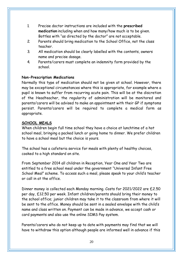- 1. Precise doctor instructions are included with the **prescribed medication** including when and how many/how much is to be given. Bottles with "as directed by the doctor" are not acceptable.
- 2. Parents should bring medication to the School Office, not the class teacher.
- 3. All medication should be clearly labelled with the contents, owners name and precise dosage.
- 4. Parents/carers must complete an indemnity form provided by the school.

# **Non-Prescription Medications**

Normally this type of medication should not be given at school. However, there may be exceptional circumstances where this is appropriate, for example where a pupil is known to suffer from recurring acute pain. This will be at the discretion of the Headteacher, the regularity of administration will be monitored and parents/carers will be advised to make an appointment with their GP if symptoms persist. Parents/carers will be required to complete a medical form as appropriate.

#### **SCHOOL MEALS**

When children begin full time school they have a choice at lunchtime of a hot school meal, bringing a packed lunch or going home to dinner. We prefer children to have a school meal but the choice is yours.

The school has a cafeteria service for meals with plenty of healthy choices, cooked to a high standard on site.

From September 2014 all children in Reception, Year One and Year Two are entitled to a free school meal under the government "Universal Infant Free School Meal" scheme. To access such a meal, please speak to your child's teacher or call in at the office.

Dinner money is collected each Monday morning. Costs for 2021/2022 are £2.50 per day, £12.50 per week. Infant children/parents should bring their money to the school office; junior children may take it to the classroom from where it will be sent to the office. Money should be sent in a sealed envelope with the child's name and class written on. Payment can be made in advance, we accept cash or card payments and also use the online SIMS Pay system.

Parents/carers who do not keep up to date with payments may find that we will have to withdraw this option although people are informed well in advance if this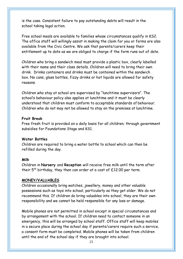is the case. Consistent failure to pay outstanding debts will result in the school taking legal action.

Free school meals are available to families whose circumstances qualify in KS2. The office staff will willingly assist in making the claim for you or forms are also available from the Civic Centre. We ask that parents/carers keep their entitlement up to date as we are obliged to charge if the form runs out of date.

Children who bring a sandwich meal must provide a plastic box, clearly labelled with their name and their class details. Children will need to bring their own drink. Drinks containers and drinks must be contained within the sandwich box. No cans, glass bottles, fizzy drinks or hot liquids are allowed for safety reasons.

Children who stay at school are supervised by "lunchtime supervisors". The school's behaviour policy also applies at lunchtime and it must be clearly understood that children must conform to acceptable standards of behaviour. Children who do not may not be allowed to stay on the premises at lunchtime.

#### **Fruit Break**

Free fresh fruit is provided on a daily basis for all children; through government subsidies for Foundations Stage and KS1.

#### **Water Bottles**

Children are required to bring a water bottle to school which can then be refilled during the day.

#### **Milk**

Children in **Nursery** and **Reception** will receive free milk until the term after their  $5^{th}$  birthday, they then can order at a cost of £12.00 per term.

#### **MONEY/VALUABLES**

Children occasionally bring watches, jewellery, money and other valuable possessions such as toys into school, particularly as they get older. We do not recommend this. If children do bring valuables into school, they are their own responsibility and we cannot be held responsible for any loss or damage.

Mobile phones are not permitted in school except in special circumstances and by arrangement with the school. If children need to contact someone in an emergency, this will be arranged by school staff. Office staff will keep mobiles in a secure place during the school day if parents/carers require such a service, a consent form must be completed. Mobile phones will be taken from children until the end of the school day if they are brought into school.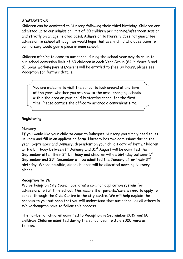#### **ADMISSIONS**

Children can be admitted to Nursery following their third birthday. Children are admitted up to our admission limit of 30 children per morning/afternoon session and strictly on an age related basis. Admission to Nursery does not guarantee admission to school although we would hope that every child who does come to our nursery would gain a place in main school.

Children wishing to come to our school during the school year may do so up to our school admission limit of 60 children in each Year Group (64 in Years 3 and 5). Some working parents/carers will be entitled to free 30 hours, please see Reception for further details.

You are welcome to visit the school to look around at any time of the year, whether you are new to the area, changing schools within the area or your child is starting school for the first time. Please contact the office to arrange a convenient time.

#### **Registering**

#### **Nursery**

If you would like your child to come to Rakegate Nursery you simply need to let us know and fill in an application form. Nursery has two admissions during the year, September and January, dependent on your child's date of birth. Children with a birthday between  $1<sup>st</sup>$  January and  $31<sup>st</sup>$  August will be admitted the September after their  $3^{rd}$  birthday and children with a birthday between  $1^{st}$ September and 31<sup>st</sup> December will be admitted the January after their 3<sup>rd</sup> birthday. Where possible, older children will be allocated morning Nursery places.

#### **Reception to Y6**

Wolverhampton City Council operates a common application system for admissions to full time school. This means that parents/carers need to apply to school through the Civic Centre in the city centre. We will help explain the process to you but hope that you will understand that our school, as all others in Wolverhampton have to follow this process.

The number of children admitted to Reception in September 2019 was 60 children. Children admitted during the school year to July 2020 were as follows:-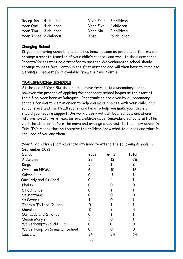Year One 4 children Year Five 1 children Year Two 3 children Year Six 2 children Year Three 2 children Total 19 children

Reception 4 children Vear Four 3 children

#### **Changing School**

If you are moving schools, please let us know as soon as possible so that we can arrange a smooth transfer of your child's records and work to their new school. Parents/Carers wanting a transfer to another Wolverhampton school should arrange to meet Mrs Horton in the first instance and will then have to complete a transfer request form available from the Civic Centre.

#### **TRANSFERRING SCHOOLS**

At the end of Year Six the children move from us to a secondary school, however the process of applying for secondary school begins at the start of their final year here at Rakegate. Opportunities are given by all secondary schools for you to visit in order to help you make choices with your child. Our school staff and the Headteacher are here to help you make your decision should you require support. We work closely with all local schools and share information etc. with them before children move. Secondary school staff often visit the children before the move and arrange a day visit to their new school in July. This means that on transfer the children know what to expect and what is required of you and them.

Year Six children from Rakegate intended to attend the following schools in September 2021: School Boys Girls Total Aldersley 23 13 36 Kings 2 1 2 Ormiston NEWA 6 10 16 Colton Hills 0 1 1 Our Lady and St Chad 0 1 1 1 1 Khalsa 0 0 0 St Edmunds St Matthias 0 0 1 0 1 0 St Peter's Thomas Telford College Moreton 1  $\Omega$  2 0 1 2 1 1 4 Our Lady and St Chad Queen Mary's 0 1 1 0 1 1 Wolverhampton Girls' High 0 0 0 0 0 0 Wolverhampton Grammar School 0 0 0 Leavers 34 34 64

23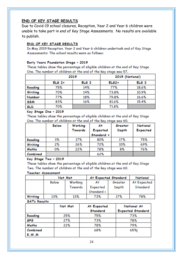#### **END OF KEY STAGE RESULTS**

Due to Covid-19 school closures, Reception, Year 2 and Year 6 children were unable to take part in end of Key Stage Assessments. No results are available to publish.

#### END OF KEY STAGE RESULTS

In May 2019 Reception, Year 2 and Year 6 children undertook end of Key Stage Assessments: The school results were as follows:

#### Early Years Foundation Stage - 2019

These tables show the percentage of eligible children at the end of Key Stage One. The number of children at the end of the key stage was 57.

|            | 2019     |                  | 2019 (National) |                  |
|------------|----------|------------------|-----------------|------------------|
|            | $ELG 2+$ | ELG <sub>3</sub> | $EL62+$         | ELG <sub>3</sub> |
| Reading    | 75%      | 14%              | 77%             | 18.6%            |
| Writing    | 70%      | 14%              | 73.8%           | 10.9%            |
| Number     | 77%      | 18%              | 79.8%           | 16.6%            |
| <b>SSM</b> | 83%      | 16%              | 81.6%           | 15.4%            |
| GLD        | 70%      |                  | 71.8%           |                  |

#### Key Stage One - 2019

These tables show the percentage of eligible children at the end of Key Stage One. The number of children at the end of the key stage was 60.

|          | <b>Below</b> | Working<br>Towards | At<br>Expected | Greater<br>Depth | National<br>Expected |
|----------|--------------|--------------------|----------------|------------------|----------------------|
|          |              |                    | Standard +     |                  |                      |
| Reading  | 3%           | 17%                | 80%            | 17%              | 75%                  |
| Writing  | 2%           | 26%                | 72%            | 10%              | 69%                  |
| Maths    | 0%           | 22%                | 78%            | 8%               | 76%                  |
| Combined |              |                    | 62%            |                  |                      |

#### Key Stage Two - 2019

These tables show the percentage of eligible children at the end of Key Stage Two. The number of children at the end of the key stage was 60,

#### **Teacher Assessment**

|         | Not Met |         | At Expected Standard |         | National    |
|---------|---------|---------|----------------------|---------|-------------|
|         | Below   | Working |                      | Greater | At Expected |
|         |         | Towards | Expected             | Depth   | Standard    |
|         |         |         | Standard +           |         |             |
| Writing | 13%     | 13%     | 73%                  | 17%     | 78%         |

#### **SATs Results**

|            | Not Met | At Expected | National At              |
|------------|---------|-------------|--------------------------|
|            |         | Standard    | <b>Expected Standard</b> |
| Reading    | 25%     | 75%         | 73%                      |
| <b>GPS</b> | 27%     | 73%         | 78%                      |
| Maths      | 22%     | 78%         | 79%                      |
| Combined   |         | 68%         | 65%                      |
| R, W, M    |         |             |                          |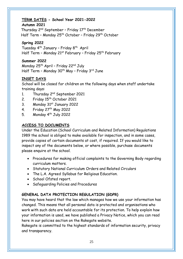# **TERM DATES - School Year 2021-2022**

#### **Autumn 2021**

Thursday 2<sup>nd</sup> September - Friday 17<sup>th</sup> December Half Term – Monday 25<sup>th</sup> October – Friday 29<sup>th</sup> October

# **Spring 2022**

Tuesday 4<sup>th</sup> January - Friday 8<sup>th</sup> April Half Term - Monday 21<sup>st</sup> February - Friday 25<sup>th</sup> February

# **Summer 2022**

Monday 25th April – Friday 22nd July Half Term – Monday 30<sup>th</sup> May – Friday 3<sup>rd</sup> June

# **INSET DAYS**

School will be closed for children on the following days when staff undertake training days:

- 1. Thursday  $2^{nd}$  September 2021
- 2. Friday 15<sup>th</sup> October 2021
- 3. Monday 31st January 2022
- 4. Friday  $27<sup>th</sup>$  May 2022
- 5. Monday 4<sup>th</sup> July 2022

# **ACCESS TO DOCUMENTS**

Under the Education (School Curriculum and Related Information) Regulations 1989 the school is obliged to make available for inspection, and in some cases, provide copies of certain documents at cost, if required. If you would like to inspect any of the documents below, or where possible, purchase documents please enquire at the school.

- Procedures for making official complaints to the Governing Body regarding curriculum matters.
- Statutory National Curriculum Orders and Related Circulars
- The L.A. Agreed Syllabus for Religious Education.
- School Ofsted report.
- Safeguarding Policies and Procedures

# **GENERAL DATA PROTECTION REGULATION (GDPR)**

You may have heard that the law which manages how we use your information has changed. This means that all personal data is protected and organisations who work with such data are held accountable for its protection. To help explain how your information is used, we have published a Privacy Notice, which you can read here in our policies section on the Rakegate website.

Rakegate is committed to the highest standards of information security, privacy and transparency.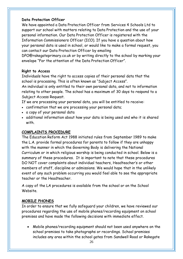# **Data Protection Officer**

We have appointed a Data Protection Officer from Services 4 Schools Ltd to support our school with matters relating to Data Protection and the use of your personal information. Our Data Protection Officer is registered with the Information Commissioners Officer (ICO). If you have a question about how your personal data is used in school, or would like to make a formal request, you can contact our Data Protection Officer by emailing

[DPO@rakegateprimary.co.uk o](mailto:DPO@rakegateprimary.co.uk)r by writing directly to the school by marking your envelope "For the attention of the Data Protection Officer".

# **Right to Access**

Individuals have the right to access copies of their personal data that the school is processing. This is often known as "Subject Access".

An individual is only entitled to their own personal data, and not to information relating to other people. The school has a maximum of 30 days to respond to a Subject Access Request.

If we are processing your personal data, you will be entitled to receive:

- confirmation that we are processing your personal data;
- a copy of your personal data
- additional information about how your data is being used and who it is shared with.

# **COMPLAINTS PROCEDURE**

The Education Reform Act 1988 initiated rules from September 1989 to make the L.A. provide formal procedures for parents to follow if they are unhappy with the manner in which the Governing Body is delivering the National Curriculum or in which religious worship is being conducted in school. Below is a summary of these procedures. It is important to note that these procedures DO NOT cover complaints about individual teachers, Headteacher's or other members of staff, discipline or admissions. We would hope that in the unlikely event of any such problem occurring you would feel able to see the appropriate teacher or the Headteacher.

A copy of the LA procedures is available from the school or on the School Website.

# **MOBILE PHONES**

In order to ensure that we fully safeguard your children, we have reviewed our procedures regarding the use of mobile phones/recording equipment on school premises and have made the following decisions with immediate effect.

• Mobile phones/recording equipment should not been used anywhere on the school premises to take photographs or recordings. School premises includes any area within the school gates from Sandwell Road or Rakegate